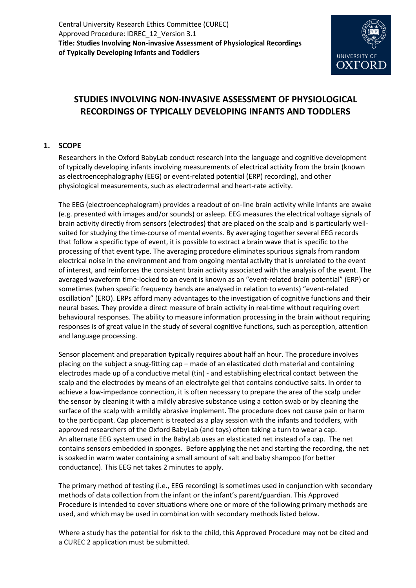

# **STUDIES INVOLVING NON-INVASIVE ASSESSMENT OF PHYSIOLOGICAL RECORDINGS OF TYPICALLY DEVELOPING INFANTS AND TODDLERS**

# **1. SCOPE**

Researchers in the Oxford BabyLab conduct research into the language and cognitive development of typically developing infants involving measurements of electrical activity from the brain (known as electroencephalography (EEG) or event-related potential (ERP) recording), and other physiological measurements, such as electrodermal and heart-rate activity.

The EEG (electroencephalogram) provides a readout of on-line brain activity while infants are awake (e.g. presented with images and/or sounds) or asleep. EEG measures the electrical voltage signals of brain activity directly from sensors (electrodes) that are placed on the scalp and is particularly wellsuited for studying the time-course of mental events. By averaging together several EEG records that follow a specific type of event, it is possible to extract a brain wave that is specific to the processing of that event type. The averaging procedure eliminates spurious signals from random electrical noise in the environment and from ongoing mental activity that is unrelated to the event of interest, and reinforces the consistent brain activity associated with the analysis of the event. The averaged waveform time-locked to an event is known as an "event-related brain potential" (ERP) or sometimes (when specific frequency bands are analysed in relation to events) "event-related oscillation" (ERO). ERPs afford many advantages to the investigation of cognitive functions and their neural bases. They provide a direct measure of brain activity in real-time without requiring overt behavioural responses. The ability to measure information processing in the brain without requiring responses is of great value in the study of several cognitive functions, such as perception, attention and language processing.

Sensor placement and preparation typically requires about half an hour. The procedure involves placing on the subject a snug-fitting cap – made of an elasticated cloth material and containing electrodes made up of a conductive metal (tin) - and establishing electrical contact between the scalp and the electrodes by means of an electrolyte gel that contains conductive salts. In order to achieve a low-impedance connection, it is often necessary to prepare the area of the scalp under the sensor by cleaning it with a mildly abrasive substance using a cotton swab or by cleaning the surface of the scalp with a mildly abrasive implement. The procedure does not cause pain or harm to the participant. Cap placement is treated as a play session with the infants and toddlers, with approved researchers of the Oxford BabyLab (and toys) often taking a turn to wear a cap. An alternate EEG system used in the BabyLab uses an elasticated net instead of a cap. The net contains sensors embedded in sponges. Before applying the net and starting the recording, the net is soaked in warm water containing a small amount of salt and baby shampoo (for better conductance). This EEG net takes 2 minutes to apply.

The primary method of testing (i.e., EEG recording) is sometimes used in conjunction with secondary methods of data collection from the infant or the infant's parent/guardian. This Approved Procedure is intended to cover situations where one or more of the following primary methods are used, and which may be used in combination with secondary methods listed below.

Where a study has the potential for risk to the child, this Approved Procedure may not be cited and a CUREC 2 application must be submitted.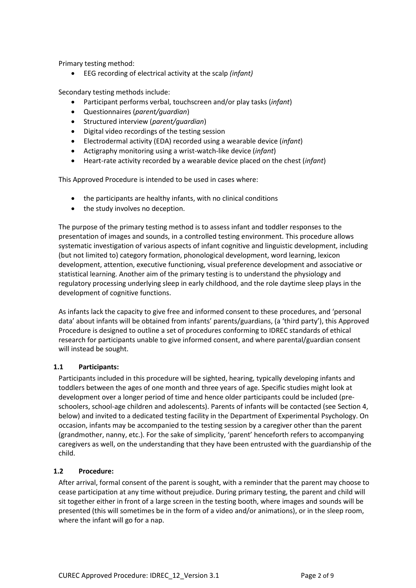Primary testing method:

EEG recording of electrical activity at the scalp *(infant)*

Secondary testing methods include:

- Participant performs verbal, touchscreen and/or play tasks (*infant*)
- Questionnaires (*parent/guardian*)
- Structured interview (*parent/guardian*)
- Digital video recordings of the testing session
- Electrodermal activity (EDA) recorded using a wearable device (*infant*)
- Actigraphy monitoring using a wrist-watch-like device (*infant*)
- Heart-rate activity recorded by a wearable device placed on the chest (*infant*)

This Approved Procedure is intended to be used in cases where:

- the participants are healthy infants, with no clinical conditions
- the study involves no deception.

The purpose of the primary testing method is to assess infant and toddler responses to the presentation of images and sounds, in a controlled testing environment. This procedure allows systematic investigation of various aspects of infant cognitive and linguistic development, including (but not limited to) category formation, phonological development, word learning, lexicon development, attention, executive functioning, visual preference development and associative or statistical learning. Another aim of the primary testing is to understand the physiology and regulatory processing underlying sleep in early childhood, and the role daytime sleep plays in the development of cognitive functions.

As infants lack the capacity to give free and informed consent to these procedures, and 'personal data' about infants will be obtained from infants' parents/guardians, (a 'third party'), this Approved Procedure is designed to outline a set of procedures conforming to IDREC standards of ethical research for participants unable to give informed consent, and where parental/guardian consent will instead be sought.

#### **1.1 Participants:**

Participants included in this procedure will be sighted, hearing, typically developing infants and toddlers between the ages of one month and three years of age. Specific studies might look at development over a longer period of time and hence older participants could be included (preschoolers, school-age children and adolescents). Parents of infants will be contacted (see Section 4, below) and invited to a dedicated testing facility in the Department of Experimental Psychology. On occasion, infants may be accompanied to the testing session by a caregiver other than the parent (grandmother, nanny, etc.). For the sake of simplicity, 'parent' henceforth refers to accompanying caregivers as well, on the understanding that they have been entrusted with the guardianship of the child.

#### **1.2 Procedure:**

After arrival, formal consent of the parent is sought, with a reminder that the parent may choose to cease participation at any time without prejudice. During primary testing, the parent and child will sit together either in front of a large screen in the testing booth, where images and sounds will be presented (this will sometimes be in the form of a video and/or animations), or in the sleep room, where the infant will go for a nap.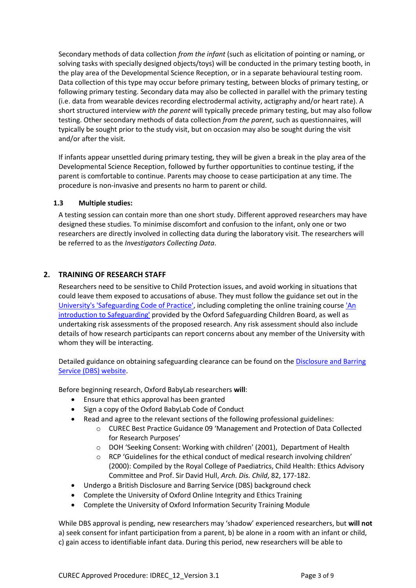Secondary methods of data collection *from the infant* (such as elicitation of pointing or naming, or solving tasks with specially designed objects/toys) will be conducted in the primary testing booth, in the play area of the Developmental Science Reception, or in a separate behavioural testing room. Data collection of this type may occur before primary testing, between blocks of primary testing, or following primary testing. Secondary data may also be collected in parallel with the primary testing (i.e. data from wearable devices recording electrodermal activity, actigraphy and/or heart rate). A short structured interview *with the parent* will typically precede primary testing, but may also follow testing. Other secondary methods of data collection *from the parent*, such as questionnaires, will typically be sought prior to the study visit, but on occasion may also be sought during the visit and/or after the visit.

If infants appear unsettled during primary testing, they will be given a break in the play area of the Developmental Science Reception, followed by further opportunities to continue testing, if the parent is comfortable to continue. Parents may choose to cease participation at any time. The procedure is non-invasive and presents no harm to parent or child.

#### **1.3 Multiple studies:**

A testing session can contain more than one short study. Different approved researchers may have designed these studies. To minimise discomfort and confusion to the infant, only one or two researchers are directly involved in collecting data during the laboratory visit. The researchers will be referred to as the *Investigators Collecting Data*.

# **2. TRAINING OF RESEARCH STAFF**

Researchers need to be sensitive to Child Protection issues, and avoid working in situations that could leave them exposed to accusations of abuse. They must follow the guidance set out in the [University's 'Safeguarding Code of Practice',](https://www.admin.ox.ac.uk/personnel/cops/safeguarding/) including completing the online training cours[e 'An](https://hr.admin.ox.ac.uk/safeguarding-at-risk-adults-and-children#collapse1406916)  [introduction to Safeguarding'](https://hr.admin.ox.ac.uk/safeguarding-at-risk-adults-and-children#collapse1406916) provided by the Oxford Safeguarding Children Board, as well as undertaking risk assessments of the proposed research. Any risk assessment should also include details of how research participants can report concerns about any member of the University with whom they will be interacting.

Detailed guidance on obtaining safeguarding clearance can be found on the [Disclosure and Barring](https://www.gov.uk/disclosure-barring-service-check)  [Service \(DBS\) website.](https://www.gov.uk/disclosure-barring-service-check)

Before beginning research, Oxford BabyLab researchers **will**:

- Ensure that ethics approval has been granted
- Sign a copy of the Oxford BabyLab Code of Conduct
- Read and agree to the relevant sections of the following professional guidelines:
	- o CUREC Best Practice Guidance 09 'Management and Protection of Data Collected for Research Purposes'
	- o DOH 'Seeking Consent: Working with children' (2001), Department of Health
	- $\circ$  RCP 'Guidelines for the ethical conduct of medical research involving children' (2000): Compiled by the Royal College of Paediatrics, Child Health: Ethics Advisory Committee and Prof. Sir David Hull, *Arch. Dis. Child*, 82, 177-182.
- Undergo a British Disclosure and Barring Service (DBS) background check
- Complete the University of Oxford Online Integrity and Ethics Training
- Complete the University of Oxford Information Security Training Module

While DBS approval is pending, new researchers may 'shadow' experienced researchers, but **will not** a) seek consent for infant participation from a parent, b) be alone in a room with an infant or child, c) gain access to identifiable infant data. During this period, new researchers will be able to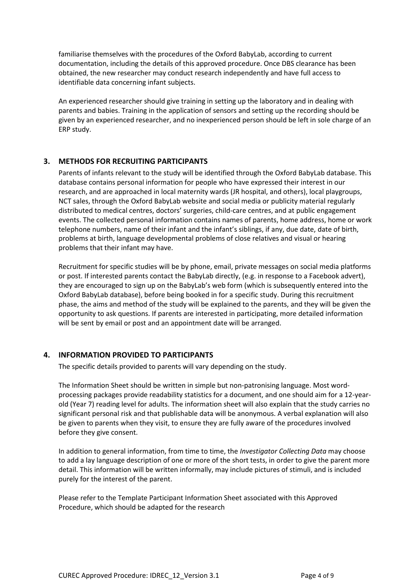familiarise themselves with the procedures of the Oxford BabyLab, according to current documentation, including the details of this approved procedure. Once DBS clearance has been obtained, the new researcher may conduct research independently and have full access to identifiable data concerning infant subjects.

An experienced researcher should give training in setting up the laboratory and in dealing with parents and babies. Training in the application of sensors and setting up the recording should be given by an experienced researcher, and no inexperienced person should be left in sole charge of an ERP study.

## **3. METHODS FOR RECRUITING PARTICIPANTS**

Parents of infants relevant to the study will be identified through the Oxford BabyLab database. This database contains personal information for people who have expressed their interest in our research, and are approached in local maternity wards (JR hospital, and others), local playgroups, NCT sales, through the Oxford BabyLab website and social media or publicity material regularly distributed to medical centres, doctors' surgeries, child-care centres, and at public engagement events. The collected personal information contains names of parents, home address, home or work telephone numbers, name of their infant and the infant's siblings, if any, due date, date of birth, problems at birth, language developmental problems of close relatives and visual or hearing problems that their infant may have.

Recruitment for specific studies will be by phone, email, private messages on social media platforms or post. If interested parents contact the BabyLab directly, (e.g. in response to a Facebook advert), they are encouraged to sign up on the BabyLab's web form (which is subsequently entered into the Oxford BabyLab database), before being booked in for a specific study. During this recruitment phase, the aims and method of the study will be explained to the parents, and they will be given the opportunity to ask questions. If parents are interested in participating, more detailed information will be sent by email or post and an appointment date will be arranged.

## **4. INFORMATION PROVIDED TO PARTICIPANTS**

The specific details provided to parents will vary depending on the study.

The Information Sheet should be written in simple but non-patronising language. Most wordprocessing packages provide readability statistics for a document, and one should aim for a 12-yearold (Year 7) reading level for adults. The information sheet will also explain that the study carries no significant personal risk and that publishable data will be anonymous. A verbal explanation will also be given to parents when they visit, to ensure they are fully aware of the procedures involved before they give consent.

In addition to general information, from time to time, the *Investigator Collecting Data* may choose to add a lay language description of one or more of the short tests, in order to give the parent more detail. This information will be written informally, may include pictures of stimuli, and is included purely for the interest of the parent.

Please refer to the Template Participant Information Sheet associated with this Approved Procedure, which should be adapted for the research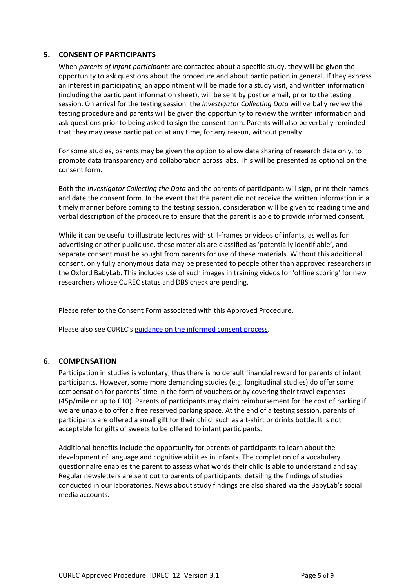#### **5. CONSENT OF PARTICIPANTS**

When *parents of infant participants* are contacted about a specific study, they will be given the opportunity to ask questions about the procedure and about participation in general. If they express an interest in participating, an appointment will be made for a study visit, and written information (including the participant information sheet), will be sent by post or email, prior to the testing session. On arrival for the testing session, the *Investigator Collecting Data* will verbally review the testing procedure and parents will be given the opportunity to review the written information and ask questions prior to being asked to sign the consent form. Parents will also be verbally reminded that they may cease participation at any time, for any reason, without penalty.

For some studies, parents may be given the option to allow data sharing of research data only, to promote data transparency and collaboration across labs. This will be presented as optional on the consent form.

Both the *Investigator Collecting the Data* and the parents of participants will sign, print their names and date the consent form. In the event that the parent did not receive the written information in a timely manner before coming to the testing session, consideration will be given to reading time and verbal description of the procedure to ensure that the parent is able to provide informed consent.

While it can be useful to illustrate lectures with still-frames or videos of infants, as well as for advertising or other public use, these materials are classified as 'potentially identifiable', and separate consent must be sought from parents for use of these materials. Without this additional consent, only fully anonymous data may be presented to people other than approved researchers in the Oxford BabyLab. This includes use of such images in training videos for 'offline scoring' for new researchers whose CUREC status and DBS check are pending.

Please refer to the Consent Form associated with this Approved Procedure.

Please also see CUREC's [guidance on the informed consent process.](http://researchsupport.admin.ox.ac.uk/governance/ethics/resources/consent)

#### **6. COMPENSATION**

Participation in studies is voluntary, thus there is no default financial reward for parents of infant participants. However, some more demanding studies (e.g. longitudinal studies) do offer some compensation for parents' time in the form of vouchers or by covering their travel expenses (45p/mile or up to £10). Parents of participants may claim reimbursement for the cost of parking if we are unable to offer a free reserved parking space. At the end of a testing session, parents of participants are offered a small gift for their child, such as a t-shirt or drinks bottle. It is not acceptable for gifts of sweets to be offered to infant participants.

Additional benefits include the opportunity for parents of participants to learn about the development of language and cognitive abilities in infants. The completion of a vocabulary questionnaire enables the parent to assess what words their child is able to understand and say. Regular newsletters are sent out to parents of participants, detailing the findings of studies conducted in our laboratories. News about study findings are also shared via the BabyLab's social media accounts.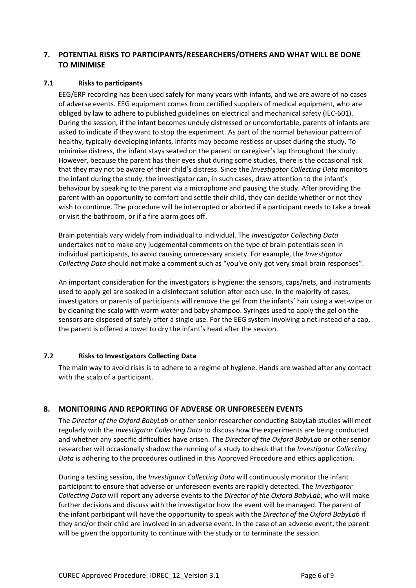## **7. POTENTIAL RISKS TO PARTICIPANTS/RESEARCHERS/OTHERS AND WHAT WILL BE DONE TO MINIMISE**

#### **7.1 Risks to participants**

EEG/ERP recording has been used safely for many years with infants, and we are aware of no cases of adverse events. EEG equipment comes from certified suppliers of medical equipment, who are obliged by law to adhere to published guidelines on electrical and mechanical safety (IEC-601). During the session, if the infant becomes unduly distressed or uncomfortable, parents of infants are asked to indicate if they want to stop the experiment. As part of the normal behaviour pattern of healthy, typically-developing infants, infants may become restless or upset during the study. To minimise distress, the infant stays seated on the parent or caregiver's lap throughout the study. However, because the parent has their eyes shut during some studies, there is the occasional risk that they may not be aware of their child's distress. Since the *Investigator Collecting Data* monitors the infant during the study, the investigator can, in such cases, draw attention to the infant's behaviour by speaking to the parent via a microphone and pausing the study. After providing the parent with an opportunity to comfort and settle their child, they can decide whether or not they wish to continue. The procedure will be interrupted or aborted if a participant needs to take a break or visit the bathroom, or if a fire alarm goes off.

Brain potentials vary widely from individual to individual. The *Investigator Collecting Data* undertakes not to make any judgemental comments on the type of brain potentials seen in individual participants, to avoid causing unnecessary anxiety. For example, the *Investigator Collecting Data* should not make a comment such as "you've only got very small brain responses".

An important consideration for the investigators is hygiene: the sensors, caps/nets, and instruments used to apply gel are soaked in a disinfectant solution after each use. In the majority of cases, investigators or parents of participants will remove the gel from the infants' hair using a wet-wipe or by cleaning the scalp with warm water and baby shampoo. Syringes used to apply the gel on the sensors are disposed of safely after a single use. For the EEG system involving a net instead of a cap, the parent is offered a towel to dry the infant's head after the session.

#### **7.2 Risks to Investigators Collecting Data**

The main way to avoid risks is to adhere to a regime of hygiene. Hands are washed after any contact with the scalp of a participant.

## **8. MONITORING AND REPORTING OF ADVERSE OR UNFORESEEN EVENTS**

The *Director of the Oxford BabyLab* or other senior researcher conducting BabyLab studies will meet regularly with the *Investigator Collecting Data* to discuss how the experiments are being conducted and whether any specific difficulties have arisen. The *Director of the Oxford BabyLab* or other senior researcher will occasionally shadow the running of a study to check that the *Investigator Collecting Data* is adhering to the procedures outlined in this Approved Procedure and ethics application.

During a testing session, the *Investigator Collecting Data* will continuously monitor the infant participant to ensure that adverse or unforeseen events are rapidly detected. The *Investigator Collecting Data* will report any adverse events to the *Director of the Oxford BabyLab*, who will make further decisions and discuss with the investigator how the event will be managed. The parent of the infant participant will have the opportunity to speak with the *Director of the Oxford BabyLab* if they and/or their child are involved in an adverse event. In the case of an adverse event, the parent will be given the opportunity to continue with the study or to terminate the session.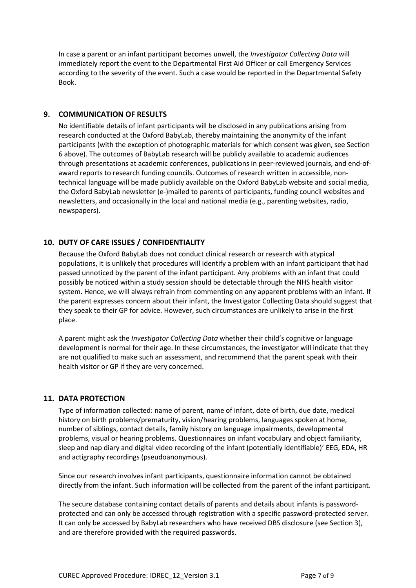In case a parent or an infant participant becomes unwell, the *Investigator Collecting Data* will immediately report the event to the Departmental First Aid Officer or call Emergency Services according to the severity of the event. Such a case would be reported in the Departmental Safety Book.

## **9. COMMUNICATION OF RESULTS**

No identifiable details of infant participants will be disclosed in any publications arising from research conducted at the Oxford BabyLab, thereby maintaining the anonymity of the infant participants (with the exception of photographic materials for which consent was given, see Section 6 above). The outcomes of BabyLab research will be publicly available to academic audiences through presentations at academic conferences, publications in peer-reviewed journals, and end-ofaward reports to research funding councils. Outcomes of research written in accessible, nontechnical language will be made publicly available on the Oxford BabyLab website and social media, the Oxford BabyLab newsletter (e-)mailed to parents of participants, funding council websites and newsletters, and occasionally in the local and national media (e.g., parenting websites, radio, newspapers).

# **10. DUTY OF CARE ISSUES / CONFIDENTIALITY**

Because the Oxford BabyLab does not conduct clinical research or research with atypical populations, it is unlikely that procedures will identify a problem with an infant participant that had passed unnoticed by the parent of the infant participant. Any problems with an infant that could possibly be noticed within a study session should be detectable through the NHS health visitor system. Hence, we will always refrain from commenting on any apparent problems with an infant. If the parent expresses concern about their infant, the Investigator Collecting Data should suggest that they speak to their GP for advice. However, such circumstances are unlikely to arise in the first place.

A parent might ask the *Investigator Collecting Data* whether their child's cognitive or language development is normal for their age. In these circumstances, the investigator will indicate that they are not qualified to make such an assessment, and recommend that the parent speak with their health visitor or GP if they are very concerned.

## **11. DATA PROTECTION**

Type of information collected: name of parent, name of infant, date of birth, due date, medical history on birth problems/prematurity, vision/hearing problems, languages spoken at home, number of siblings, contact details, family history on language impairments, developmental problems, visual or hearing problems. Questionnaires on infant vocabulary and object familiarity, sleep and nap diary and digital video recording of the infant (potentially identifiable)' EEG, EDA, HR and actigraphy recordings (pseudoanonymous).

Since our research involves infant participants, questionnaire information cannot be obtained directly from the infant. Such information will be collected from the parent of the infant participant.

The secure database containing contact details of parents and details about infants is passwordprotected and can only be accessed through registration with a specific password-protected server. It can only be accessed by BabyLab researchers who have received DBS disclosure (see Section 3), and are therefore provided with the required passwords.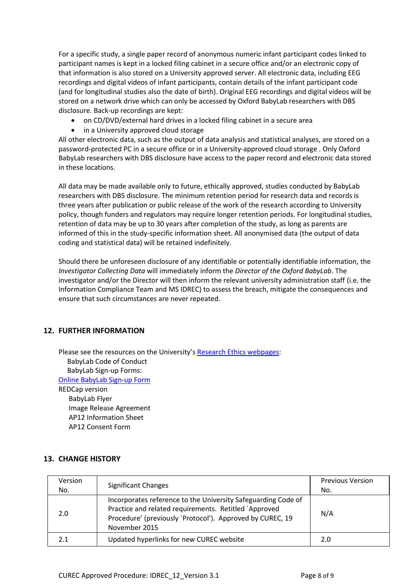For a specific study, a single paper record of anonymous numeric infant participant codes linked to participant names is kept in a locked filing cabinet in a secure office and/or an electronic copy of that information is also stored on a University approved server. All electronic data, including EEG recordings and digital videos of infant participants, contain details of the infant participant code (and for longitudinal studies also the date of birth). Original EEG recordings and digital videos will be stored on a network drive which can only be accessed by Oxford BabyLab researchers with DBS disclosure. Back-up recordings are kept:

- on CD/DVD/external hard drives in a locked filing cabinet in a secure area
- in a University approved cloud storage

All other electronic data, such as the output of data analysis and statistical analyses, are stored on a password-protected PC in a secure office or in a University-approved cloud storage . Only Oxford BabyLab researchers with DBS disclosure have access to the paper record and electronic data stored in these locations.

All data may be made available only to future, ethically approved, studies conducted by BabyLab researchers with DBS disclosure. The minimum retention period for research data and records is three years after publication or public release of the work of the research according to University policy, though funders and regulators may require longer retention periods. For longitudinal studies, retention of data may be up to 30 years after completion of the study, as long as parents are informed of this in the study-specific information sheet. All anonymised data (the output of data coding and statistical data) will be retained indefinitely.

Should there be unforeseen disclosure of any identifiable or potentially identifiable information, the *Investigator Collecting Data* will immediately inform the *Director of the Oxford BabyLab*. The investigator and/or the Director will then inform the relevant university administration staff (i.e. the Information Compliance Team and MS IDREC) to assess the breach, mitigate the consequences and ensure that such circumstances are never repeated.

## **12. FURTHER INFORMATION**

Please see the resources on the University's [Research Ethics webpages:](http://researchsupport.admin.ox.ac.uk/governance/ethics/resources/ap#collapse4-1) BabyLab Code of Conduct BabyLab Sign-up Forms: [Online BabyLab Sign-up Form](https://www.psy.ox.ac.uk/forms/babylab-signup-form) REDCap version BabyLab Flyer Image Release Agreement AP12 Information Sheet AP12 Consent Form

#### **13. CHANGE HISTORY**

| Version | <b>Significant Changes</b>                                                                                                                                                                           | <b>Previous Version</b> |
|---------|------------------------------------------------------------------------------------------------------------------------------------------------------------------------------------------------------|-------------------------|
| No.     |                                                                                                                                                                                                      | No.                     |
| 2.0     | Incorporates reference to the University Safeguarding Code of<br>Practice and related requirements. Retitled `Approved<br>Procedure' (previously 'Protocol'). Approved by CUREC, 19<br>November 2015 | N/A                     |
| 2.1     | Updated hyperlinks for new CUREC website                                                                                                                                                             | 2.0                     |